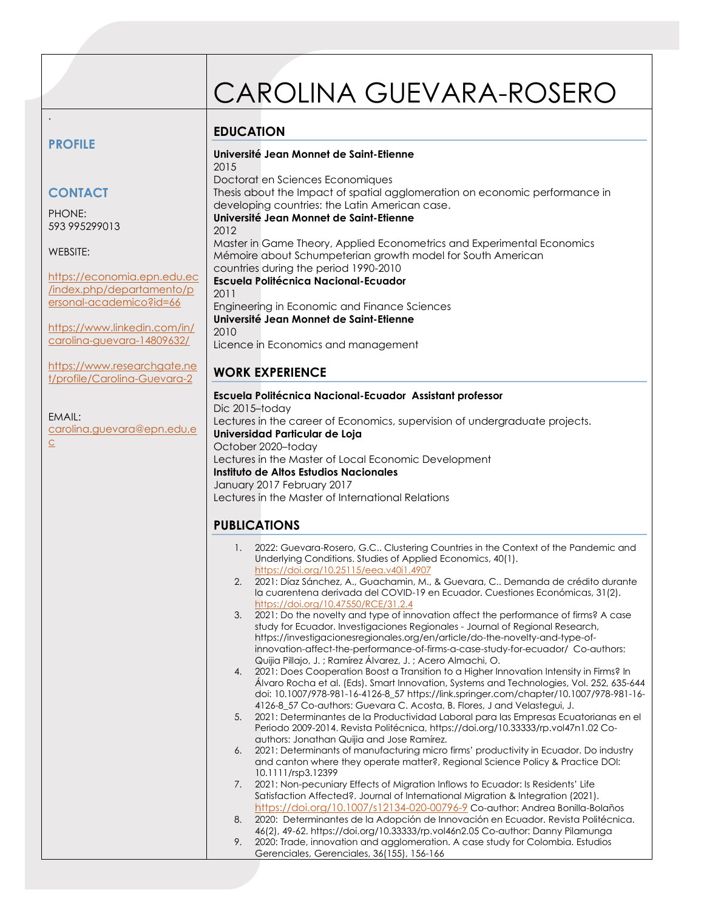# CAROLINA GUEVARA-ROSERO

## **EDUCATION**

## **PROFILE**

.

# **CONTACT**

PHONE: 593 995299013

#### WEBSITE:

[https://economia.epn.edu.ec](https://economia.epn.edu.ec/index.php/departamento/personal-academico?id=66) [/index.php/departamento/p](https://economia.epn.edu.ec/index.php/departamento/personal-academico?id=66) [ersonal-academico?id=66](https://economia.epn.edu.ec/index.php/departamento/personal-academico?id=66)

[https://www.linkedin.com/in/](https://www.linkedin.com/in/carolina-guevara-14809632/) [carolina-guevara-14809632/](https://www.linkedin.com/in/carolina-guevara-14809632/)

[https://www.researchgate.ne](https://www.researchgate.net/profile/Carolina-Guevara-2) [t/profile/Carolina-Guevara-2](https://www.researchgate.net/profile/Carolina-Guevara-2)

#### EMAIL:

[carolina.guevara@epn.edu,e](mailto:carolina.guevara@epn.edu,ec) [c](mailto:carolina.guevara@epn.edu,ec)

2015 Doctorat en Sciences Economiques Thesis about the Impact of spatial agglomeration on economic performance in developing countries: the Latin American case. **Université Jean Monnet de Saint-Etienne** 2012 Master in Game Theory, Applied Econometrics and Experimental Economics Mémoire about Schumpeterian growth model for South American countries during the period 1990-2010 **Escuela Politécnica Nacional-Ecuador** 2011

Engineering in Economic and Finance Sciences **Université Jean Monnet de Saint-Etienne** 2010 Licence in Economics and management

**Université Jean Monnet de Saint-Etienne**

## **WORK EXPERIENCE**

| Escuela Politécnica Nacional-Ecuador Assistant professor                    |
|-----------------------------------------------------------------------------|
| Dic 2015-today                                                              |
| Lectures in the career of Economics, supervision of undergraduate projects. |
| Universidad Particular de Loja                                              |
| October 2020-today                                                          |
| Lectures in the Master of Local Economic Development                        |
| Instituto de Altos Estudios Nacionales                                      |
| January 2017 February 2017                                                  |
| Lectures in the Master of International Relations                           |
|                                                                             |

## **PUBLICATIONS**

- 1. 2022: Guevara-Rosero, G.C.. Clustering Countries in the Context of the Pandemic and Underlying Conditions. Studies of Applied Economics, 40(1). <https://doi.org/10.25115/eea.v40i1.4907>
- 2. 2021: Díaz Sánchez, A., Guachamin, M., & Guevara, C.. Demanda de crédito durante la cuarentena derivada del COVID-19 en Ecuador. Cuestiones Económicas, 31(2). <https://doi.org/10.47550/RCE/31.2.4>
- 3. 2021: Do the novelty and type of innovation affect the performance of firms? A case study for Ecuador. Investigaciones Regionales - Journal of Regional Research, https://investigacionesregionales.org/en/article/do-the-novelty-and-type-ofinnovation-affect-the-performance-of-firms-a-case-study-for-ecuador/ Co-authors: Quijia Pillajo, J. ; Ramírez Álvarez, J. ; Acero Almachi, O.
- 4. 2021: Does Cooperation Boost a Transition to a Higher Innovation Intensity in Firms? In Álvaro Rocha et al. (Eds). Smart Innovation, Systems and Technologies, Vol. 252, 635-644 doi: 10.1007/978-981-16-4126-8\_57 https://link.springer.com/chapter/10.1007/978-981-16- 4126-8\_57 Co-authors: Guevara C. Acosta, B. Flores, J and Velastegui, J.
- 5. 2021: Determinantes de la Productividad Laboral para las Empresas Ecuatorianas en el Periodo 2009-2014. Revista Politécnica,<https://doi.org/10.33333/rp.vol47n1.02> Coauthors: Jonathan Quijia and Jose Ramírez.
- 6. 2021: Determinants of manufacturing micro firms' productivity in Ecuador. Do industry and canton where they operate matter?, Regional Science Policy & Practice DOI: 10.1111/rsp3.12399
- 7. 2021: Non-pecuniary Effects of Migration Inflows to Ecuador: Is Residents' Life Satisfaction Affected?. Journal of International Migration & Integration (2021). <https://doi.org/10.1007/s12134-020-00796-9> Co-author: Andrea Bonilla-Bolaños

8. 2020: Determinantes de la Adopción de Innovación en Ecuador. Revista Politécnica. 46(2), 49-62[. https://doi.org/10.33333/rp.vol46n2.05](https://doi.org/10.33333/rp.vol46n2.05) Co-author: Danny Pilamunga

9. 2020: Trade, innovation and agglomeration. A case study for Colombia. Estudios Gerenciales, Gerenciales, 36(155), 156-166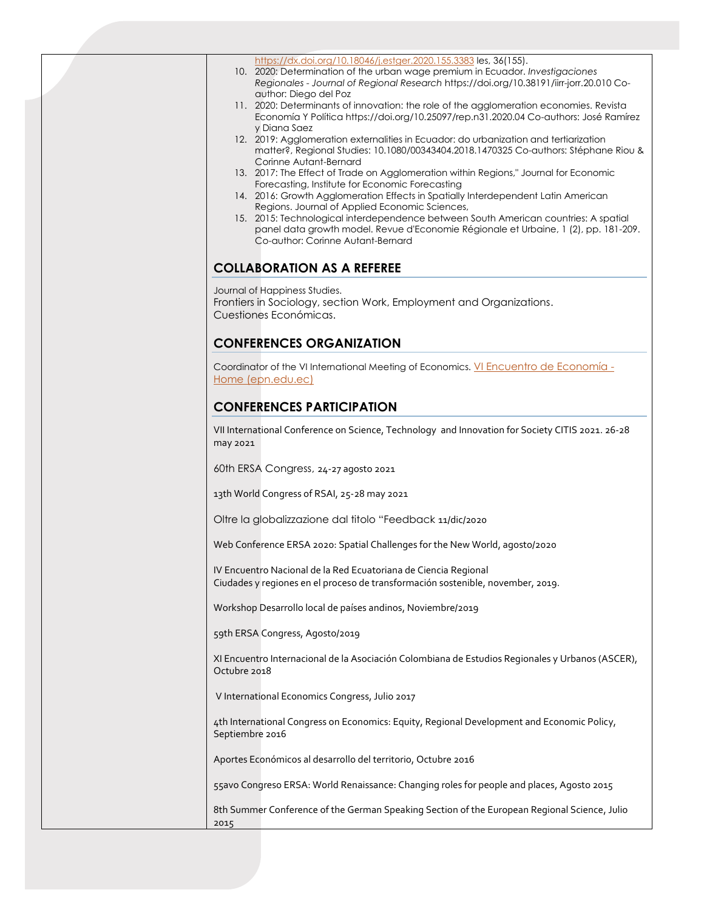<https://dx.doi.org/10.18046/j.estger.2020.155.3383> les, 36(155).

- 10. 2020: Determination of the urban wage premium in Ecuador. *Investigaciones Regionales - Journal of Regional Research* <https://doi.org/10.38191/iirr-jorr.20.010> Coauthor: Diego del Poz
- 11. 2020: Determinants of innovation: the role of the agglomeration economies. Revista Economía Y Polític[a https://doi.org/10.25097/rep.n31.2020.04](https://doi.org/10.25097/rep.n31.2020.04) Co-authors: José Ramírez y Diana Saez
- 12. 2019: Agglomeration externalities in Ecuador: do urbanization and tertiarization matter?, Regional Studies: [10.1080/00343404.2018.1470325](https://doi.org/10.1080/00343404.2018.1470325) Co-authors: Stéphane Riou & Corinne Autant-Bernard
- 13. 2017: The Effect of Trade on Agglomeration within Regions," Journal for Economic Forecasting, Institute for Economic Forecasting
- 14. 2016: Growth Agglomeration Effects in Spatially Interdependent Latin American Regions. Journal of Applied Economic Sciences,
- 15. 2015: Technological interdependence between South American countries: A spatial panel data growth model. Revue d'Economie Régionale et Urbaine, 1 (2), pp. 181-209. Co-author: Corinne Autant-Bernard

## **COLLABORATION AS A REFEREE**

Journal of Happiness Studies. Frontiers in Sociology, section Work, Employment and Organizations. Cuestiones Económicas.

#### **CONFERENCES ORGANIZATION**

Coordinator of the VI International Meeting of Economics. [VI Encuentro de Economía -](https://vi-economia.epn.edu.ec/) [Home \(epn.edu.ec\)](https://vi-economia.epn.edu.ec/)

#### **CONFERENCES PARTICIPATION**

VII International Conference on Science, Technology and Innovation for Society CITIS 2021. 26-28 may 2021

60th ERSA Congress, 24-27 agosto 2021

13th World Congress of RSAI, 25-28 may 2021

Oltre la globalizzazione dal titolo "Feedback 11/dic/2020

Web Conference ERSA 2020: Spatial Challenges for the New World, agosto/2020

IV Encuentro Nacional de la Red Ecuatoriana de Ciencia Regional Ciudades y regiones en el proceso de transformación sostenible, november, 2019.

Workshop Desarrollo local de países andinos, Noviembre/2019

59th ERSA Congress, Agosto/2019

XI Encuentro Internacional de la Asociación Colombiana de Estudios Regionales y Urbanos (ASCER), Octubre 2018

V International Economics Congress, Julio 2017

4th International Congress on Economics: Equity, Regional Development and Economic Policy, Septiembre 2016

Aportes Económicos al desarrollo del territorio, Octubre 2016

55avo Congreso ERSA: World Renaissance: Changing roles for people and places, Agosto 2015

8th Summer Conference of the German Speaking Section of the European Regional Science, Julio 2015